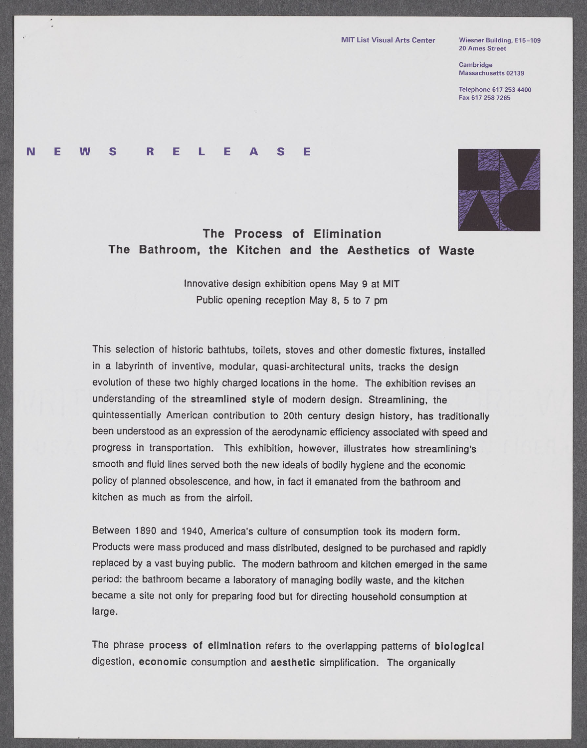**20 Ames Street**

**Cambridge Massachusetts 02139**

**Telephone [617 253 4400](tel:6172534400) Fax [617 258 7265](fax:6172587265)**

## **N E W S R E L E A S E**

 $\overline{\phantom{a}}$ 



## **The Process of Elimination The Bathroom, the Kitchen and the Aesthetics of Waste**

Innovative design exhibition opens May **9** at MIT Public opening reception May **8, 5** to **7** pm

This selection of historic bathtubs, toilets, stoves and other domestic fixtures, installed in a labyrinth of inventive, modular, quasi-architectural units, tracks the design evolution of these two **highly** charged locations in the home. The exhibition revises an understanding of the streamlined style of modern design. Streamlining, the quintessentially American contribution to 20th century design history, has traditionally been understood as an expression of the aerodynamic efficiency associated with speed and progress in transportation. This exhibition, however, illustrates how streamlining's smooth and fluid lines served both the new ideals of bodily hygiene and the economic policy of planned obsolescence, and how, in fact it emanated from the bathroom and kitchen as much as from the airfoil.

Between **1890** and 1940, America's culture of consumption took its modern form. Products were mass produced and mass distributed, designed to be purchased and rapidly replaced **by** a vast buying public. The modern bathroom and kitchen emerged in the same period: the bathroom became a laboratory of managing bodily waste, and the kitchen became a site not only for preparing food but for directing household consumption at large.

The phrase process of elimination refers to the overlapping patterns of biological digestion, economic consumption and aesthetic simplification. The organically